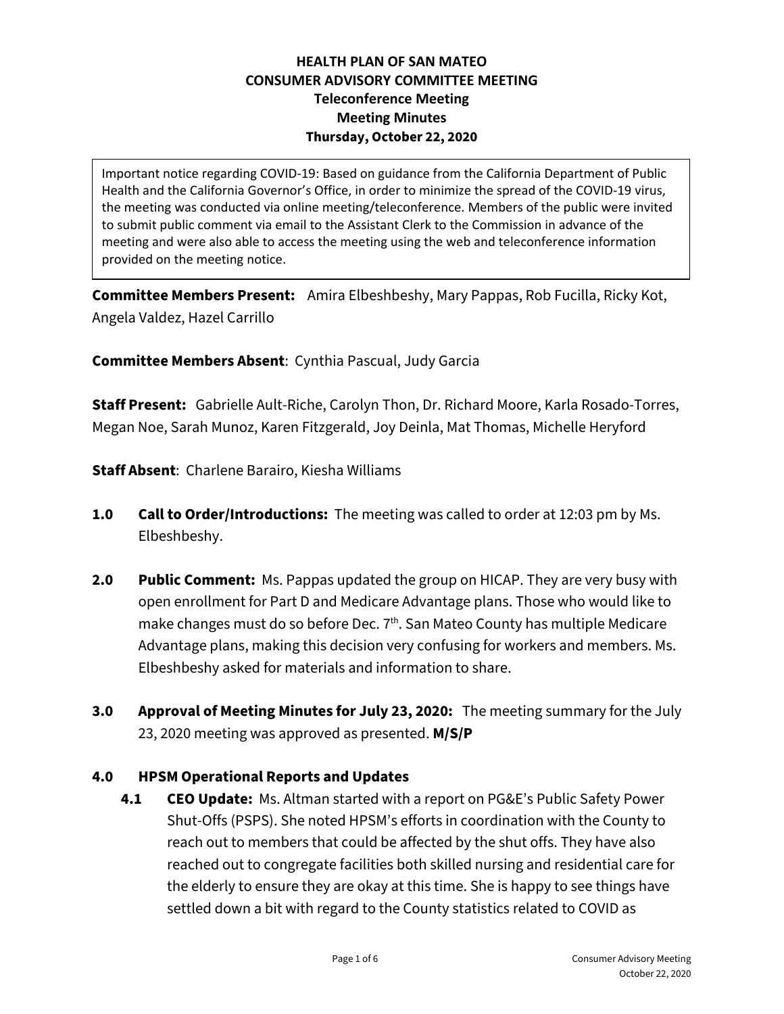## **HEALTH PLAN OF SAN MATEO CONSUMER ADVISORY COMMITTEE MEETING Teleconference Meeting Meeting Minutes Thursday, October 22, 2020**

Important notice regarding COVID-19: Based on guidance from the California Department of Public Health and the California Governor's Office, in order to minimize the spread of the COVID-19 virus, the meeting was conducted via online meeting/teleconference. Members of the public were invited to submit public comment via email to the Assistant Clerk to the Commission in advance of the meeting and were also able to access the meeting using the web and teleconference information provided on the meeting notice.

**Committee Members Present:** Amira Elbeshbeshy, Mary Pappas, Rob Fucilla, Ricky Kot, Angela Valdez, Hazel Carrillo

**Committee Members Absent**: Cynthia Pascual, Judy Garcia

**Staff Present:** Gabrielle Ault-Riche, Carolyn Thon, Dr. Richard Moore, Karla Rosado-Torres, Megan Noe, Sarah Munoz, Karen Fitzgerald, Joy Deinla, Mat Thomas, Michelle Heryford

**Staff Absent**: Charlene Barairo, Kiesha Williams

- **1.0 Call to Order/Introductions:** The meeting was called to order at 12:03 pm by Ms. Elbeshbeshy.
- **2.0 Public Comment:** Ms. Pappas updated the group on HICAP. They are very busy with open enrollment for Part D and Medicare Advantage plans. Those who would like to make changes must do so before Dec. 7<sup>th</sup>. San Mateo County has multiple Medicare Advantage plans, making this decision very confusing for workers and members. Ms. Elbeshbeshy asked for materials and information to share.
- **3.0 Approval of Meeting Minutes for July 23, 2020:** The meeting summary for the July 23, 2020 meeting was approved as presented. **M/S/P**

## **4.0 HPSM Operational Reports and Updates**

**4.1 CEO Update:** Ms. Altman started with a report on PG&E's Public Safety Power Shut-Offs (PSPS). She noted HPSM's efforts in coordination with the County to reach out to members that could be affected by the shut offs. They have also reached out to congregate facilities both skilled nursing and residential care for the elderly to ensure they are okay at this time. She is happy to see things have settled down a bit with regard to the County statistics related to COVID as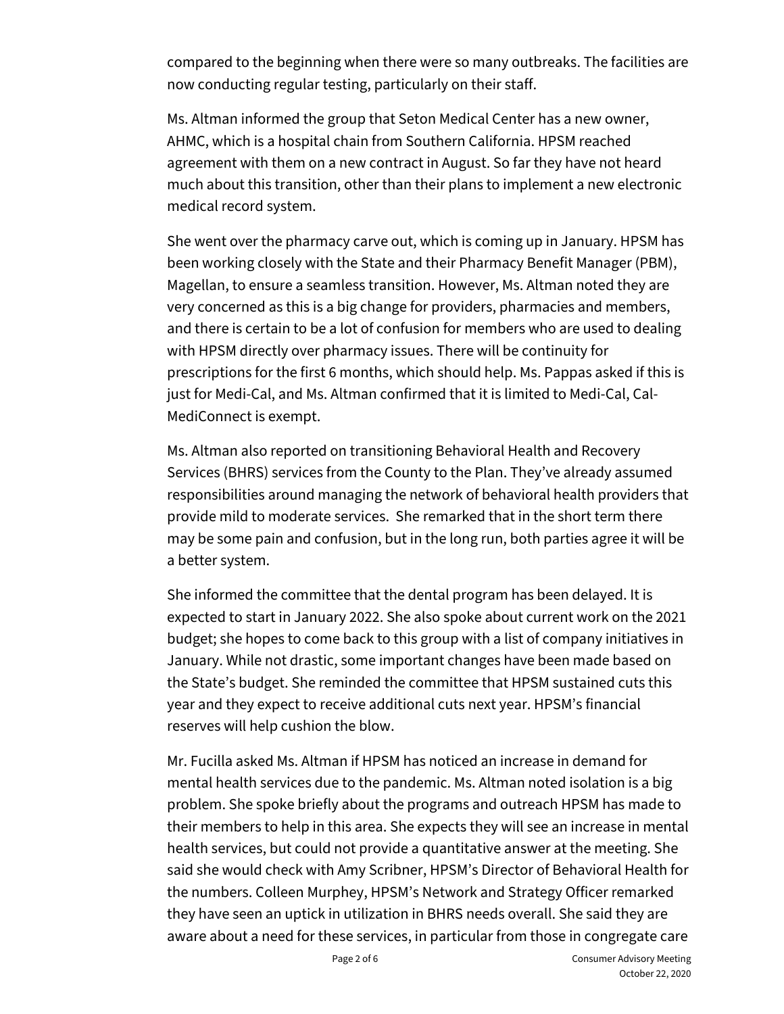compared to the beginning when there were so many outbreaks. The facilities are now conducting regular testing, particularly on their staff.

Ms. Altman informed the group that Seton Medical Center has a new owner, AHMC, which is a hospital chain from Southern California. HPSM reached agreement with them on a new contract in August. So far they have not heard much about this transition, other than their plans to implement a new electronic medical record system.

She went over the pharmacy carve out, which is coming up in January. HPSM has been working closely with the State and their Pharmacy Benefit Manager (PBM), Magellan, to ensure a seamless transition. However, Ms. Altman noted they are very concerned as this is a big change for providers, pharmacies and members, and there is certain to be a lot of confusion for members who are used to dealing with HPSM directly over pharmacy issues. There will be continuity for prescriptions for the first 6 months, which should help. Ms. Pappas asked if this is just for Medi-Cal, and Ms. Altman confirmed that it is limited to Medi-Cal, Cal-MediConnect is exempt.

Ms. Altman also reported on transitioning Behavioral Health and Recovery Services (BHRS) services from the County to the Plan. They've already assumed responsibilities around managing the network of behavioral health providers that provide mild to moderate services. She remarked that in the short term there may be some pain and confusion, but in the long run, both parties agree it will be a better system.

She informed the committee that the dental program has been delayed. It is expected to start in January 2022. She also spoke about current work on the 2021 budget; she hopes to come back to this group with a list of company initiatives in January. While not drastic, some important changes have been made based on the State's budget. She reminded the committee that HPSM sustained cuts this year and they expect to receive additional cuts next year. HPSM's financial reserves will help cushion the blow.

Mr. Fucilla asked Ms. Altman if HPSM has noticed an increase in demand for mental health services due to the pandemic. Ms. Altman noted isolation is a big problem. She spoke briefly about the programs and outreach HPSM has made to their members to help in this area. She expects they will see an increase in mental health services, but could not provide a quantitative answer at the meeting. She said she would check with Amy Scribner, HPSM's Director of Behavioral Health for the numbers. Colleen Murphey, HPSM's Network and Strategy Officer remarked they have seen an uptick in utilization in BHRS needs overall. She said they are aware about a need for these services, in particular from those in congregate care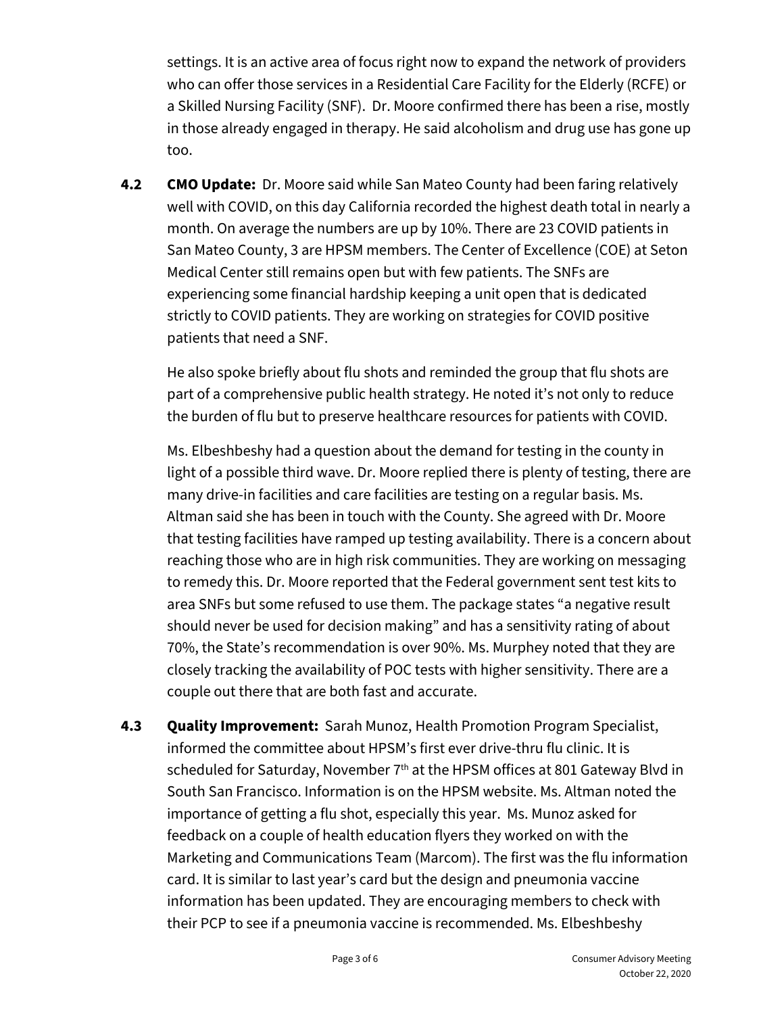settings. It is an active area of focus right now to expand the network of providers who can offer those services in a Residential Care Facility for the Elderly (RCFE) or a Skilled Nursing Facility (SNF). Dr. Moore confirmed there has been a rise, mostly in those already engaged in therapy. He said alcoholism and drug use has gone up too.

**4.2 CMO Update:** Dr. Moore said while San Mateo County had been faring relatively well with COVID, on this day California recorded the highest death total in nearly a month. On average the numbers are up by 10%. There are 23 COVID patients in San Mateo County, 3 are HPSM members. The Center of Excellence (COE) at Seton Medical Center still remains open but with few patients. The SNFs are experiencing some financial hardship keeping a unit open that is dedicated strictly to COVID patients. They are working on strategies for COVID positive patients that need a SNF.

He also spoke briefly about flu shots and reminded the group that flu shots are part of a comprehensive public health strategy. He noted it's not only to reduce the burden of flu but to preserve healthcare resources for patients with COVID.

Ms. Elbeshbeshy had a question about the demand for testing in the county in light of a possible third wave. Dr. Moore replied there is plenty of testing, there are many drive-in facilities and care facilities are testing on a regular basis. Ms. Altman said she has been in touch with the County. She agreed with Dr. Moore that testing facilities have ramped up testing availability. There is a concern about reaching those who are in high risk communities. They are working on messaging to remedy this. Dr. Moore reported that the Federal government sent test kits to area SNFs but some refused to use them. The package states "a negative result should never be used for decision making" and has a sensitivity rating of about 70%, the State's recommendation is over 90%. Ms. Murphey noted that they are closely tracking the availability of POC tests with higher sensitivity. There are a couple out there that are both fast and accurate.

**4.3 Quality Improvement:** Sarah Munoz, Health Promotion Program Specialist, informed the committee about HPSM's first ever drive-thru flu clinic. It is scheduled for Saturday, November  $7<sup>th</sup>$  at the HPSM offices at 801 Gateway Blvd in South San Francisco. Information is on the HPSM website. Ms. Altman noted the importance of getting a flu shot, especially this year. Ms. Munoz asked for feedback on a couple of health education flyers they worked on with the Marketing and Communications Team (Marcom). The first was the flu information card. It is similar to last year's card but the design and pneumonia vaccine information has been updated. They are encouraging members to check with their PCP to see if a pneumonia vaccine is recommended. Ms. Elbeshbeshy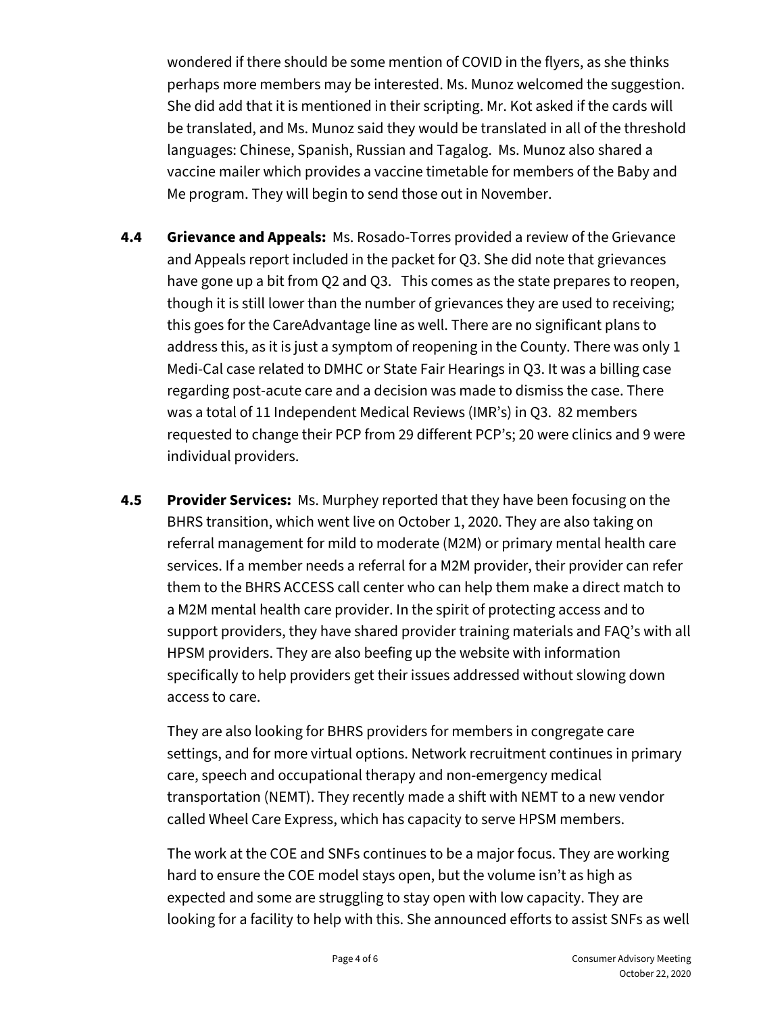wondered if there should be some mention of COVID in the flyers, as she thinks perhaps more members may be interested. Ms. Munoz welcomed the suggestion. She did add that it is mentioned in their scripting. Mr. Kot asked if the cards will be translated, and Ms. Munoz said they would be translated in all of the threshold languages: Chinese, Spanish, Russian and Tagalog. Ms. Munoz also shared a vaccine mailer which provides a vaccine timetable for members of the Baby and Me program. They will begin to send those out in November.

- **4.4 Grievance and Appeals:** Ms. Rosado-Torres provided a review of the Grievance and Appeals report included in the packet for Q3. She did note that grievances have gone up a bit from Q2 and Q3. This comes as the state prepares to reopen, though it is still lower than the number of grievances they are used to receiving; this goes for the CareAdvantage line as well. There are no significant plans to address this, as it is just a symptom of reopening in the County. There was only 1 Medi-Cal case related to DMHC or State Fair Hearings in Q3. It was a billing case regarding post-acute care and a decision was made to dismiss the case. There was a total of 11 Independent Medical Reviews (IMR's) in Q3. 82 members requested to change their PCP from 29 different PCP's; 20 were clinics and 9 were individual providers.
- **4.5 Provider Services:** Ms. Murphey reported that they have been focusing on the BHRS transition, which went live on October 1, 2020. They are also taking on referral management for mild to moderate (M2M) or primary mental health care services. If a member needs a referral for a M2M provider, their provider can refer them to the BHRS ACCESS call center who can help them make a direct match to a M2M mental health care provider. In the spirit of protecting access and to support providers, they have shared provider training materials and FAQ's with all HPSM providers. They are also beefing up the website with information specifically to help providers get their issues addressed without slowing down access to care.

They are also looking for BHRS providers for members in congregate care settings, and for more virtual options. Network recruitment continues in primary care, speech and occupational therapy and non-emergency medical transportation (NEMT). They recently made a shift with NEMT to a new vendor called Wheel Care Express, which has capacity to serve HPSM members.

The work at the COE and SNFs continues to be a major focus. They are working hard to ensure the COE model stays open, but the volume isn't as high as expected and some are struggling to stay open with low capacity. They are looking for a facility to help with this. She announced efforts to assist SNFs as well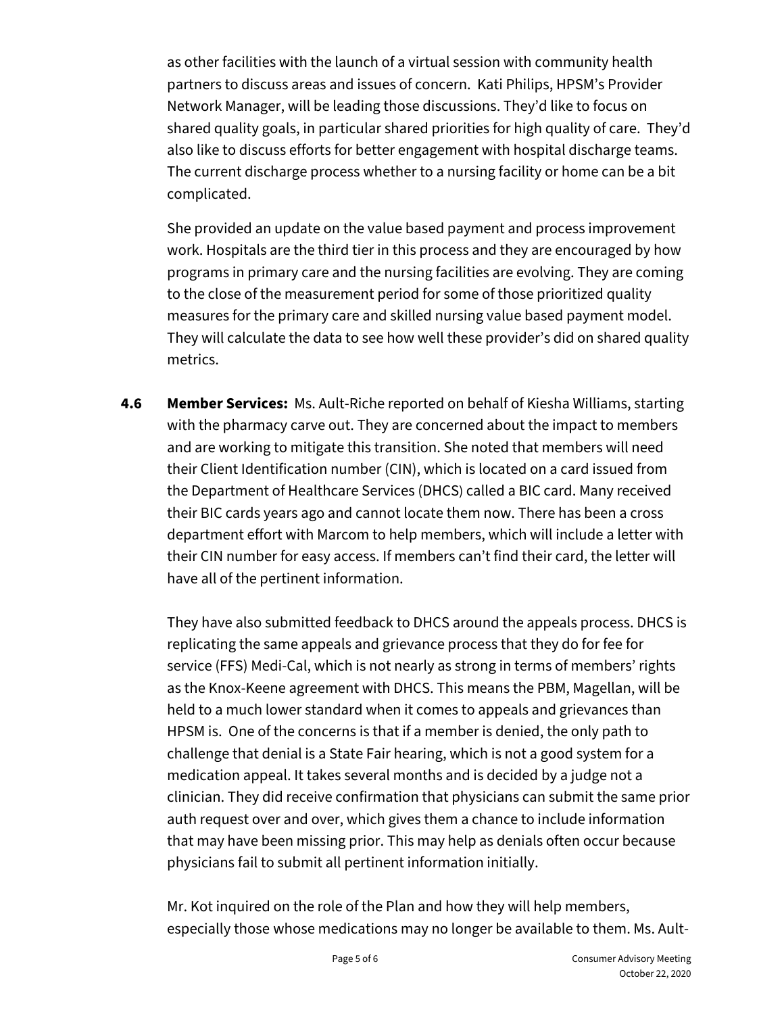as other facilities with the launch of a virtual session with community health partners to discuss areas and issues of concern. Kati Philips, HPSM's Provider Network Manager, will be leading those discussions. They'd like to focus on shared quality goals, in particular shared priorities for high quality of care. They'd also like to discuss efforts for better engagement with hospital discharge teams. The current discharge process whether to a nursing facility or home can be a bit complicated.

She provided an update on the value based payment and process improvement work. Hospitals are the third tier in this process and they are encouraged by how programs in primary care and the nursing facilities are evolving. They are coming to the close of the measurement period for some of those prioritized quality measures for the primary care and skilled nursing value based payment model. They will calculate the data to see how well these provider's did on shared quality metrics.

**4.6 Member Services:** Ms. Ault-Riche reported on behalf of Kiesha Williams, starting with the pharmacy carve out. They are concerned about the impact to members and are working to mitigate this transition. She noted that members will need their Client Identification number (CIN), which is located on a card issued from the Department of Healthcare Services (DHCS) called a BIC card. Many received their BIC cards years ago and cannot locate them now. There has been a cross department effort with Marcom to help members, which will include a letter with their CIN number for easy access. If members can't find their card, the letter will have all of the pertinent information.

They have also submitted feedback to DHCS around the appeals process. DHCS is replicating the same appeals and grievance process that they do for fee for service (FFS) Medi-Cal, which is not nearly as strong in terms of members' rights as the Knox-Keene agreement with DHCS. This means the PBM, Magellan, will be held to a much lower standard when it comes to appeals and grievances than HPSM is. One of the concerns is that if a member is denied, the only path to challenge that denial is a State Fair hearing, which is not a good system for a medication appeal. It takes several months and is decided by a judge not a clinician. They did receive confirmation that physicians can submit the same prior auth request over and over, which gives them a chance to include information that may have been missing prior. This may help as denials often occur because physicians fail to submit all pertinent information initially.

Mr. Kot inquired on the role of the Plan and how they will help members, especially those whose medications may no longer be available to them. Ms. Ault